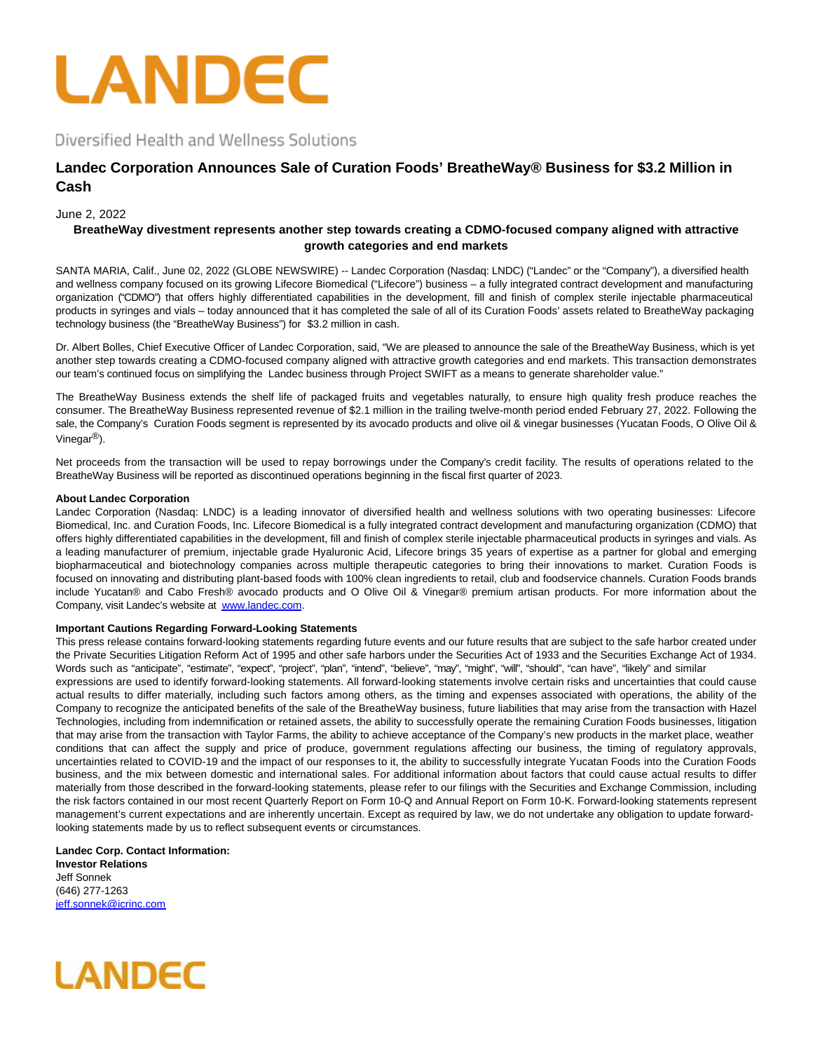

Diversified Health and Wellness Solutions

# **Landec Corporation Announces Sale of Curation Foods' BreatheWay® Business for \$3.2 Million in Cash**

## June 2, 2022

## **BreatheWay divestment represents another step towards creating a CDMO-focused company aligned with attractive growth categories and end markets**

SANTA MARIA, Calif., June 02, 2022 (GLOBE NEWSWIRE) -- Landec Corporation (Nasdaq: LNDC) ("Landec" or the "Company"), a diversified health and wellness company focused on its growing Lifecore Biomedical ("Lifecore") business – a fully integrated contract development and manufacturing organization ("CDMO") that offers highly differentiated capabilities in the development, fill and finish of complex sterile injectable pharmaceutical products in syringes and vials – today announced that it has completed the sale of all of its Curation Foods' assets related to BreatheWay packaging technology business (the "BreatheWay Business") for \$3.2 million in cash.

Dr. Albert Bolles, Chief Executive Officer of Landec Corporation, said, "We are pleased to announce the sale of the BreatheWay Business, which is yet another step towards creating a CDMO-focused company aligned with attractive growth categories and end markets. This transaction demonstrates our team's continued focus on simplifying the Landec business through Project SWIFT as a means to generate shareholder value."

The BreatheWay Business extends the shelf life of packaged fruits and vegetables naturally, to ensure high quality fresh produce reaches the consumer. The BreatheWay Business represented revenue of \$2.1 million in the trailing twelve-month period ended February 27, 2022. Following the sale, the Company's Curation Foods segment is represented by its avocado products and olive oil & vinegar businesses (Yucatan Foods, O Olive Oil & Vinegar®).

Net proceeds from the transaction will be used to repay borrowings under the Company's credit facility. The results of operations related to the BreatheWay Business will be reported as discontinued operations beginning in the fiscal first quarter of 2023.

### **About Landec Corporation**

Landec Corporation (Nasdaq: LNDC) is a leading innovator of diversified health and wellness solutions with two operating businesses: Lifecore Biomedical, Inc. and Curation Foods, Inc. Lifecore Biomedical is a fully integrated contract development and manufacturing organization (CDMO) that offers highly differentiated capabilities in the development, fill and finish of complex sterile injectable pharmaceutical products in syringes and vials. As a leading manufacturer of premium, injectable grade Hyaluronic Acid, Lifecore brings 35 years of expertise as a partner for global and emerging biopharmaceutical and biotechnology companies across multiple therapeutic categories to bring their innovations to market. Curation Foods is focused on innovating and distributing plant-based foods with 100% clean ingredients to retail, club and foodservice channels. Curation Foods brands include Yucatan® and Cabo Fresh® avocado products and O Olive Oil & Vinegar® premium artisan products. For more information about the Company, visit Landec's website at [www.landec.com.](https://www.globenewswire.com/Tracker?data=6vo723EVfL7-oqMpXwRGg5Wdfys-ILeDY_OGYzO8oTlBNpIvLmMelVvFl_2O4MOFMvO9F2WqDpOw1xIPf3FeNw==)

### **Important Cautions Regarding Forward-Looking Statements**

This press release contains forward-looking statements regarding future events and our future results that are subject to the safe harbor created under the Private Securities Litigation Reform Act of 1995 and other safe harbors under the Securities Act of 1933 and the Securities Exchange Act of 1934. Words such as "anticipate", "estimate", "expect", "project", "plan", "intend", "believe", "may", "might", "will", "should", "can have", "likely" and similar expressions are used to identify forward-looking statements. All forward-looking statements involve certain risks and uncertainties that could cause actual results to differ materially, including such factors among others, as the timing and expenses associated with operations, the ability of the Company to recognize the anticipated benefits of the sale of the BreatheWay business, future liabilities that may arise from the transaction with Hazel Technologies, including from indemnification or retained assets, the ability to successfully operate the remaining Curation Foods businesses, litigation that may arise from the transaction with Taylor Farms, the ability to achieve acceptance of the Company's new products in the market place, weather conditions that can affect the supply and price of produce, government regulations affecting our business, the timing of regulatory approvals, uncertainties related to COVID-19 and the impact of our responses to it, the ability to successfully integrate Yucatan Foods into the Curation Foods business, and the mix between domestic and international sales. For additional information about factors that could cause actual results to differ materially from those described in the forward-looking statements, please refer to our filings with the Securities and Exchange Commission, including the risk factors contained in our most recent Quarterly Report on Form 10-Q and Annual Report on Form 10-K. Forward-looking statements represent management's current expectations and are inherently uncertain. Except as required by law, we do not undertake any obligation to update forwardlooking statements made by us to reflect subsequent events or circumstances.

**Landec Corp. Contact Information: Investor Relations** Jeff Sonnek (646) 277-1263 [jeff.sonnek@icrinc.com](https://www.globenewswire.com/Tracker?data=3uxk3N1V7Kneu-1RiLtjOqW12AAa7PKiJexQFaTlRbW_dC-q-t949PhIYH72K3v7dnYs8xtHrZNDD2Ak-GaOFTeEr-X2UXheymyNv35vhDY=)